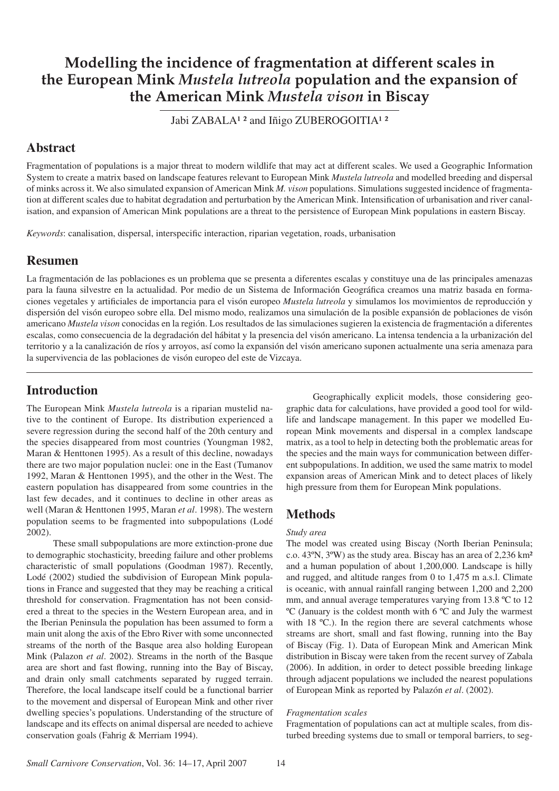# **Modelling the incidence of fragmentation at different scales in the European Mink** *Mustela lutreola* **population and the expansion of the American Mink** *Mustela vison* **in Biscay**

Jabi ZABALA<sup>1</sup> <sup>2</sup> and Iñigo ZUBEROGOITIA<sup>1</sup> <sup>2</sup>

# **Abstract**

Fragmentation of populations is a major threat to modern wildlife that may act at different scales. We used a Geographic Information System to create a matrix based on landscape features relevant to European Mink *Mustela lutreola* and modelled breeding and dispersal of minks across it. We also simulated expansion of American Mink *M. vison* populations. Simulations suggested incidence of fragmentation at different scales due to habitat degradation and perturbation by the American Mink. Intensification of urbanisation and river canalisation, and expansion of American Mink populations are a threat to the persistence of European Mink populations in eastern Biscay.

*Keywords*: canalisation, dispersal, interspecific interaction, riparian vegetation, roads, urbanisation

### **Resumen**

La fragmentación de las poblaciones es un problema que se presenta a diferentes escalas y constituye una de las principales amenazas para la fauna silvestre en la actualidad. Por medio de un Sistema de Información Geográfica creamos una matriz basada en formaciones vegetales y artificiales de importancia para el visón europeo *Mustela lutreola* y simulamos los movimientos de reproducción y dispersión del visón europeo sobre ella. Del mismo modo, realizamos una simulación de la posible expansión de poblaciones de visón americano *Mustela vison* conocidas en la región. Los resultados de las simulaciones sugieren la existencia de fragmentación a diferentes escalas, como consecuencia de la degradación del hábitat y la presencia del visón americano. La intensa tendencia a la urbanización del territorio y a la canalización de ríos y arroyos, así como la expansión del visón americano suponen actualmente una seria amenaza para la supervivencia de las poblaciones de visón europeo del este de Vizcaya.

# **Introduction**

The European Mink *Mustela lutreola* is a riparian mustelid native to the continent of Europe. Its distribution experienced a severe regression during the second half of the 20th century and the species disappeared from most countries (Youngman 1982, Maran & Henttonen 1995). As a result of this decline, nowadays there are two major population nuclei: one in the East (Tumanov 1992, Maran & Henttonen 1995), and the other in the West. The eastern population has disappeared from some countries in the last few decades, and it continues to decline in other areas as well (Maran & Henttonen 1995, Maran *et al*. 1998). The western population seems to be fragmented into subpopulations (Lodé 2002).

 These small subpopulations are more extinction-prone due to demographic stochasticity, breeding failure and other problems characteristic of small populations (Goodman 1987). Recently, Lodé (2002) studied the subdivision of European Mink populations in France and suggested that they may be reaching a critical threshold for conservation. Fragmentation has not been considered a threat to the species in the Western European area, and in the Iberian Peninsula the population has been assumed to form a main unit along the axis of the Ebro River with some unconnected streams of the north of the Basque area also holding European Mink (Palazon *et al*. 2002). Streams in the north of the Basque area are short and fast flowing, running into the Bay of Biscay, and drain only small catchments separated by rugged terrain. Therefore, the local landscape itself could be a functional barrier to the movement and dispersal of European Mink and other river dwelling species's populations. Understanding of the structure of landscape and its effects on animal dispersal are needed to achieve conservation goals (Fahrig & Merriam 1994).

 Geographically explicit models, those considering geographic data for calculations, have provided a good tool for wildlife and landscape management. In this paper we modelled European Mink movements and dispersal in a complex landscape matrix, as a tool to help in detecting both the problematic areas for the species and the main ways for communication between different subpopulations. In addition, we used the same matrix to model expansion areas of American Mink and to detect places of likely high pressure from them for European Mink populations.

# **Methods**

### *Study area*

The model was created using Biscay (North Iberian Peninsula; c.o. 43ºN, 3ºW) as the study area. Biscay has an area of 2,236 km² and a human population of about 1,200,000. Landscape is hilly and rugged, and altitude ranges from 0 to 1,475 m a.s.l. Climate is oceanic, with annual rainfall ranging between 1,200 and 2,200 mm, and annual average temperatures varying from 13.8 ºC to 12 ºC (January is the coldest month with 6 ºC and July the warmest with 18 °C.). In the region there are several catchments whose streams are short, small and fast flowing, running into the Bay of Biscay (Fig. 1). Data of European Mink and American Mink distribution in Biscay were taken from the recent survey of Zabala (2006). In addition, in order to detect possible breeding linkage through adjacent populations we included the nearest populations of European Mink as reported by Palazón *et al*. (2002).

#### *Fragmentation scales*

Fragmentation of populations can act at multiple scales, from disturbed breeding systems due to small or temporal barriers, to seg-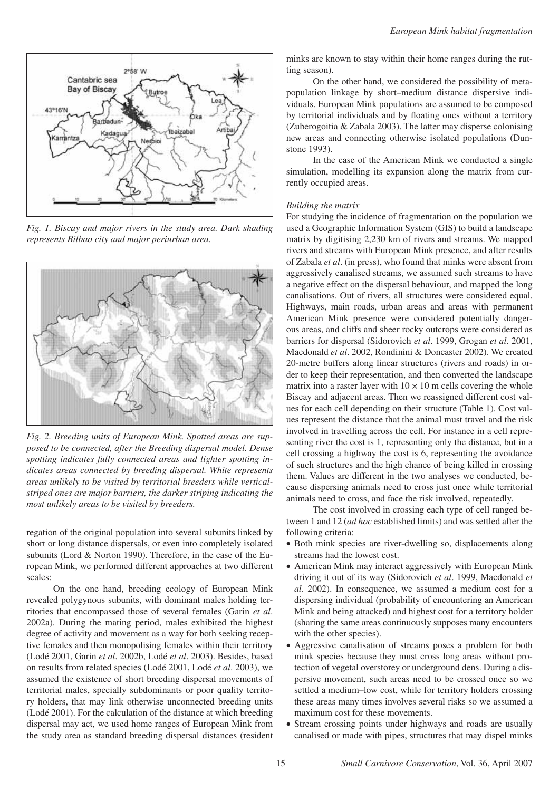

*Fig. 1. Biscay and major rivers in the study area. Dark shading represents Bilbao city and major periurban area.*



*Fig. 2. Breeding units of European Mink. Spotted areas are supposed to be connected, after the Breeding dispersal model. Dense spotting indicates fully connected areas and lighter spotting indicates areas connected by breeding dispersal. White represents areas unlikely to be visited by territorial breeders while verticalstriped ones are major barriers, the darker striping indicating the most unlikely areas to be visited by breeders.* 

regation of the original population into several subunits linked by short or long distance dispersals, or even into completely isolated subunits (Lord & Norton 1990). Therefore, in the case of the European Mink, we performed different approaches at two different scales:

 On the one hand, breeding ecology of European Mink revealed polygynous subunits, with dominant males holding territories that encompassed those of several females (Garin *et al*. 2002a). During the mating period, males exhibited the highest degree of activity and movement as a way for both seeking receptive females and then monopolising females within their territory (Lodé 2001, Garin *et al*. 2002b, Lodé *et al*. 2003). Besides, based on results from related species (Lodé 2001, Lodé *et al*. 2003), we assumed the existence of short breeding dispersal movements of territorial males, specially subdominants or poor quality territory holders, that may link otherwise unconnected breeding units (Lodé 2001). For the calculation of the distance at which breeding dispersal may act, we used home ranges of European Mink from the study area as standard breeding dispersal distances (resident minks are known to stay within their home ranges during the rutting season).

 On the other hand, we considered the possibility of metapopulation linkage by short–medium distance dispersive individuals. European Mink populations are assumed to be composed by territorial individuals and by floating ones without a territory (Zuberogoitia & Zabala 2003). The latter may disperse colonising new areas and connecting otherwise isolated populations (Dunstone 1993).

 In the case of the American Mink we conducted a single simulation, modelling its expansion along the matrix from currently occupied areas.

#### *Building the matrix*

For studying the incidence of fragmentation on the population we used a Geographic Information System (GIS) to build a landscape matrix by digitising 2,230 km of rivers and streams. We mapped rivers and streams with European Mink presence, and after results of Zabala *et al*. (in press), who found that minks were absent from aggressively canalised streams, we assumed such streams to have a negative effect on the dispersal behaviour, and mapped the long canalisations. Out of rivers, all structures were considered equal. Highways, main roads, urban areas and areas with permanent American Mink presence were considered potentially dangerous areas, and cliffs and sheer rocky outcrops were considered as barriers for dispersal (Sidorovich *et al*. 1999, Grogan *et al*. 2001, Macdonald *et al*. 2002, Rondinini & Doncaster 2002). We created 20-metre buffers along linear structures (rivers and roads) in order to keep their representation, and then converted the landscape matrix into a raster layer with  $10 \times 10$  m cells covering the whole Biscay and adjacent areas. Then we reassigned different cost values for each cell depending on their structure (Table 1). Cost values represent the distance that the animal must travel and the risk involved in travelling across the cell. For instance in a cell representing river the cost is 1, representing only the distance, but in a cell crossing a highway the cost is 6, representing the avoidance of such structures and the high chance of being killed in crossing them. Values are different in the two analyses we conducted, because dispersing animals need to cross just once while territorial animals need to cross, and face the risk involved, repeatedly.

 The cost involved in crossing each type of cell ranged between 1 and 12 (*ad hoc* established limits) and was settled after the following criteria:

- Both mink species are river-dwelling so, displacements along streams had the lowest cost.
- American Mink may interact aggressively with European Mink driving it out of its way (Sidorovich *et al*. 1999, Macdonald *et al*. 2002). In consequence, we assumed a medium cost for a dispersing individual (probability of encountering an American Mink and being attacked) and highest cost for a territory holder (sharing the same areas continuously supposes many encounters with the other species).
- Aggressive canalisation of streams poses a problem for both mink species because they must cross long areas without protection of vegetal overstorey or underground dens. During a dispersive movement, such areas need to be crossed once so we settled a medium–low cost, while for territory holders crossing these areas many times involves several risks so we assumed a maximum cost for these movements.
- Stream crossing points under highways and roads are usually canalised or made with pipes, structures that may dispel minks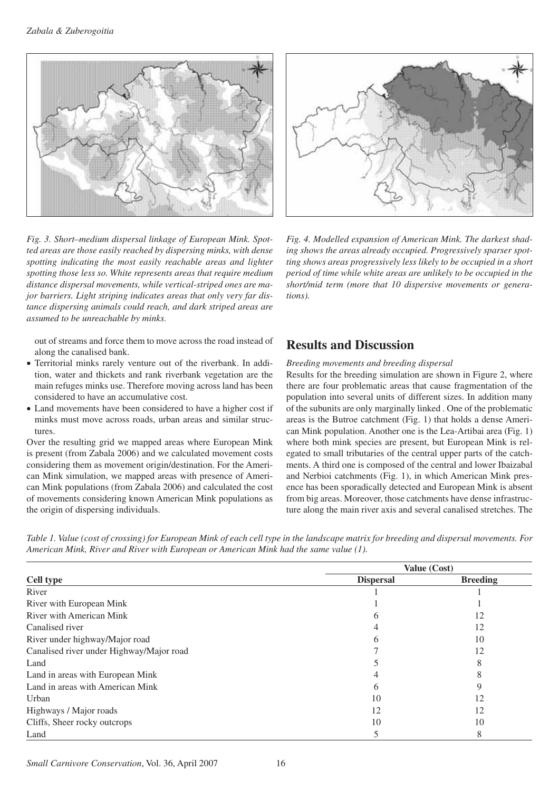



*Fig. 3. Short–medium dispersal linkage of European Mink. Spotted areas are those easily reached by dispersing minks, with dense spotting indicating the most easily reachable areas and lighter spotting those less so. White represents areas that require medium distance dispersal movements, while vertical-striped ones are major barriers. Light striping indicates areas that only very far distance dispersing animals could reach, and dark striped areas are assumed to be unreachable by minks.*

out of streams and force them to move across the road instead of along the canalised bank.

- Territorial minks rarely venture out of the riverbank. In addition, water and thickets and rank riverbank vegetation are the main refuges minks use. Therefore moving across land has been considered to have an accumulative cost.
- Land movements have been considered to have a higher cost if minks must move across roads, urban areas and similar structures.

Over the resulting grid we mapped areas where European Mink is present (from Zabala 2006) and we calculated movement costs considering them as movement origin/destination. For the American Mink simulation, we mapped areas with presence of American Mink populations (from Zabala 2006) and calculated the cost of movements considering known American Mink populations as the origin of dispersing individuals.

*Fig. 4. Modelled expansion of American Mink. The darkest shading shows the areas already occupied. Progressively sparser spotting shows areas progressively less likely to be occupied in a short period of time while white areas are unlikely to be occupied in the short/mid term (more that 10 dispersive movements or generations).*

# **Results and Discussion**

#### *Breeding movements and breeding dispersal*

Results for the breeding simulation are shown in Figure 2, where there are four problematic areas that cause fragmentation of the population into several units of different sizes. In addition many of the subunits are only marginally linked . One of the problematic areas is the Butroe catchment (Fig. 1) that holds a dense American Mink population. Another one is the Lea-Artibai area (Fig. 1) where both mink species are present, but European Mink is relegated to small tributaries of the central upper parts of the catchments. A third one is composed of the central and lower Ibaizabal and Nerbioi catchments (Fig. 1), in which American Mink presence has been sporadically detected and European Mink is absent from big areas. Moreover, those catchments have dense infrastructure along the main river axis and several canalised stretches. The

*Table 1. Value (cost of crossing) for European Mink of each cell type in the landscape matrix for breeding and dispersal movements. For American Mink, River and River with European or American Mink had the same value (1).*

| <b>Cell type</b>                         | Value (Cost)     |                 |
|------------------------------------------|------------------|-----------------|
|                                          | <b>Dispersal</b> | <b>Breeding</b> |
| River                                    |                  |                 |
| River with European Mink                 |                  |                 |
| River with American Mink                 |                  | 12              |
| Canalised river                          |                  | 12              |
| River under highway/Major road           |                  | 10              |
| Canalised river under Highway/Major road |                  | 12              |
| Land                                     |                  |                 |
| Land in areas with European Mink         |                  |                 |
| Land in areas with American Mink         | <sub>6</sub>     |                 |
| Urban                                    | 10               | 12              |
| Highways / Major roads                   | 12               | 12              |
| Cliffs, Sheer rocky outcrops             | 10               | 10              |
| Land                                     |                  | 8               |